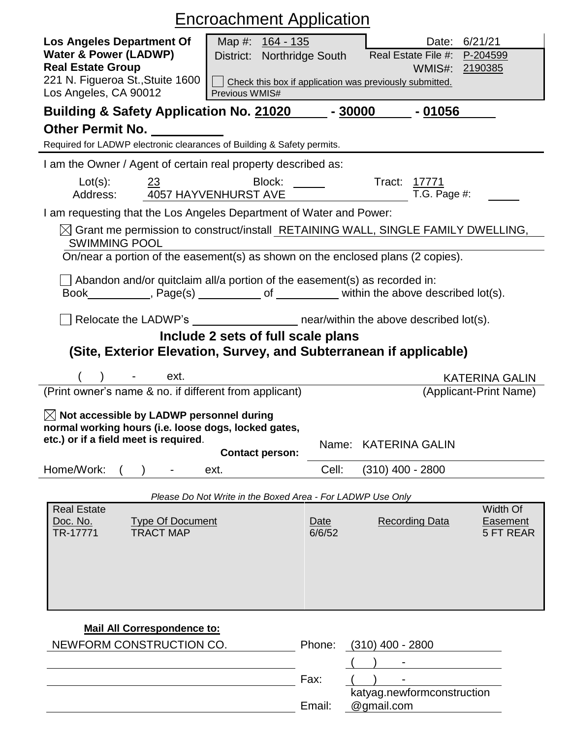| <b>Encroachment Application</b>                                                                                                                               |                                                                                     |                                                                                                                                                                                                                               |  |  |  |
|---------------------------------------------------------------------------------------------------------------------------------------------------------------|-------------------------------------------------------------------------------------|-------------------------------------------------------------------------------------------------------------------------------------------------------------------------------------------------------------------------------|--|--|--|
| <b>Los Angeles Department Of</b><br><b>Water &amp; Power (LADWP)</b><br><b>Real Estate Group</b><br>221 N. Figueroa St., Stuite 1600<br>Los Angeles, CA 90012 | Map #: 164 - 135<br>District: Northridge South<br>Previous WMIS#                    | Date: 6/21/21<br>Real Estate File #:<br>P-204599<br>WMIS#: 2190385<br>Check this box if application was previously submitted.                                                                                                 |  |  |  |
| Building & Safety Application No. 21020<br>$-30000$<br>$-01056$                                                                                               |                                                                                     |                                                                                                                                                                                                                               |  |  |  |
| Other Permit No.                                                                                                                                              |                                                                                     |                                                                                                                                                                                                                               |  |  |  |
| Required for LADWP electronic clearances of Building & Safety permits.                                                                                        |                                                                                     |                                                                                                                                                                                                                               |  |  |  |
| I am the Owner / Agent of certain real property described as:                                                                                                 |                                                                                     |                                                                                                                                                                                                                               |  |  |  |
| $Lot(s)$ :<br>23<br>Address:                                                                                                                                  | Block: _____<br>4057 HAYVENHURST AVE                                                | Tract: 17771<br>T.G. Page $#$ :                                                                                                                                                                                               |  |  |  |
| I am requesting that the Los Angeles Department of Water and Power:                                                                                           |                                                                                     |                                                                                                                                                                                                                               |  |  |  |
| <b>SWIMMING POOL</b>                                                                                                                                          |                                                                                     | $\boxtimes$ Grant me permission to construct/install RETAINING WALL, SINGLE FAMILY DWELLING,                                                                                                                                  |  |  |  |
| On/near a portion of the easement(s) as shown on the enclosed plans (2 copies).                                                                               |                                                                                     |                                                                                                                                                                                                                               |  |  |  |
| $\perp$ Abandon and/or quitclaim all/a portion of the easement(s) as recorded in:                                                                             |                                                                                     | Book Reservice Book Reservice Page(s) Reserve Let Connect Connect Connect Connect Point Connect Point Connect Point Connect Point Connect Point Point Point Point Point Point Point Point Point Point Point Point Point Point |  |  |  |
|                                                                                                                                                               |                                                                                     | Relocate the LADWP's __________________________ near/within the above described lot(s).                                                                                                                                       |  |  |  |
|                                                                                                                                                               | Include 2 sets of full scale plans                                                  |                                                                                                                                                                                                                               |  |  |  |
| (Site, Exterior Elevation, Survey, and Subterranean if applicable)                                                                                            |                                                                                     |                                                                                                                                                                                                                               |  |  |  |
|                                                                                                                                                               |                                                                                     |                                                                                                                                                                                                                               |  |  |  |
| ext.                                                                                                                                                          |                                                                                     | <b>KATERINA GALIN</b>                                                                                                                                                                                                         |  |  |  |
| (Print owner's name & no. if different from applicant)                                                                                                        |                                                                                     | (Applicant-Print Name)                                                                                                                                                                                                        |  |  |  |
| $\boxtimes$ Not accessible by LADWP personnel during<br>normal working hours (i.e. loose dogs, locked gates,                                                  |                                                                                     |                                                                                                                                                                                                                               |  |  |  |
| etc.) or if a field meet is required.                                                                                                                         | <b>Contact person:</b>                                                              | <b>KATERINA GALIN</b><br>Name:                                                                                                                                                                                                |  |  |  |
| Home/Work:                                                                                                                                                    | Cell:<br>ext.                                                                       | $(310)$ 400 - 2800                                                                                                                                                                                                            |  |  |  |
|                                                                                                                                                               |                                                                                     |                                                                                                                                                                                                                               |  |  |  |
| <b>Real Estate</b><br>Doc. No.<br><b>Type Of Document</b><br><b>TRACT MAP</b><br>TR-17771                                                                     | Please Do Not Write in the Boxed Area - For LADWP Use Only<br><b>Date</b><br>6/6/52 | Width Of<br><b>Recording Data</b><br><b>Easement</b><br>5 FT REAR                                                                                                                                                             |  |  |  |

| Fax: |
|------|

| PIJONE. | (3 IU) 400 - 2000          |  |  |  |  |
|---------|----------------------------|--|--|--|--|
|         |                            |  |  |  |  |
| Fax:    |                            |  |  |  |  |
|         | katyag.newformconstruction |  |  |  |  |
| Email:  | @gmail.com                 |  |  |  |  |